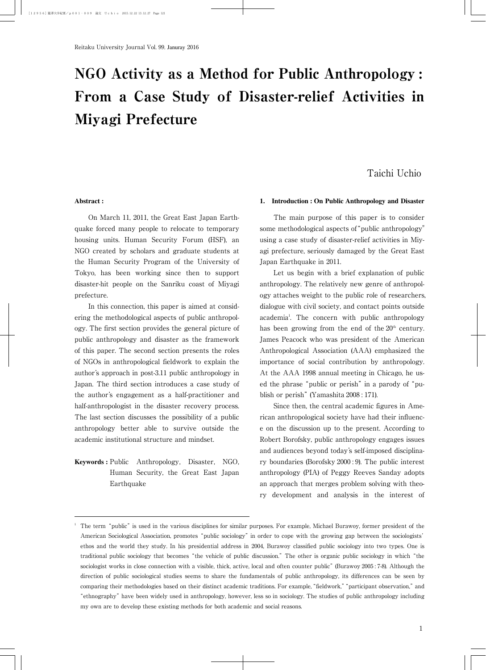# NGO Activity as a Method for Public Anthropology : From a Case Study of Disaster-relief Activities in Miyagi Prefecture

## Taichi Uchio

#### **Abstract :**

On March 11, 2011, the Great East Japan Earthquake forced many people to relocate to temporary housing units. Human Security Forum (HSF), an NGO created by scholars and graduate students at the Human Security Program of the University of Tokyo, has been working since then to support disaster-hit people on the Sanriku coast of Miyagi prefecture.

In this connection, this paper is aimed at considering the methodological aspects of public anthropology. The first section provides the general picture of public anthropology and disaster as the framework of this paper. The second section presents the roles of NGOs in anthropological fieldwork to explain the author's approach in post-3.11 public anthropology in Japan. The third section introduces a case study of the author's engagement as a half-practitioner and half-anthropologist in the disaster recovery process. The last section discusses the possibility of a public anthropology better able to survive outside the academic institutional structure and mindset.

**Keywords :** Public Anthropology, Disaster, NGO, Human Security, the Great East Japan Earthquake

#### **1. Introduction : On Public Anthropology and Disaster**

The main purpose of this paper is to consider some methodological aspects of"public anthropology" using a case study of disaster-relief activities in Miyagi prefecture, seriously damaged by the Great East Japan Earthquake in 2011.

Let us begin with a brief explanation of public anthropology. The relatively new genre of anthropology attaches weight to the public role of researchers, dialogue with civil society, and contact points outside academia<sup>1</sup>. The concern with public anthropology has been growing from the end of the  $20<sup>th</sup>$  century. James Peacock who was president of the American Anthropological Association (AAA) emphasized the importance of social contribution by anthropology. At the AAA 1998 annual meeting in Chicago, he used the phrase "public or perish" in a parody of "publish or perish"(Yamashita 2008 : 171).

Since then, the central academic figures in American anthropological society have had their influence on the discussion up to the present. According to Robert Borofsky, public anthropology engages issues and audiences beyond today's self-imposed disciplinary boundaries (Borofsky 2000 : 9). The public interest anthropology (PIA) of Peggy Reeves Sanday adopts an approach that merges problem solving with theory development and analysis in the interest of

<sup>1</sup> The term"public"is used in the various disciplines for similar purposes. For example, Michael Burawoy, former president of the American Sociological Association, promotes "public sociology" in order to cope with the growing gap between the sociologists' ethos and the world they study. In his presidential address in 2004, Burawoy classified public sociology into two types. One is traditional public sociology that becomes"the vehicle of public discussion."The other is organic public sociology in which"the sociologist works in close connection with a visible, thick, active, local and often counter public" (Burawoy 2005: 7-8). Although the direction of public sociological studies seems to share the fundamentals of public anthropology, its differences can be seen by comparing their methodologies based on their distinct academic traditions. For example,"fieldwork,""participant observation,"and "ethnography"have been widely used in anthropology, however, less so in sociology. The studies of public anthropology including my own are to develop these existing methods for both academic and social reasons.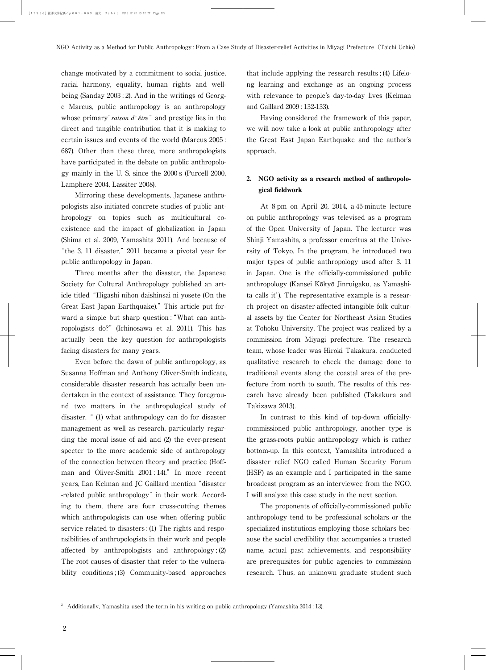change motivated by a commitment to social justice, racial harmony, equality, human rights and wellbeing (Sanday 2003 : 2). And in the writings of George Marcus, public anthropology is an anthropology whose primary"*raison d' être*"and prestige lies in the direct and tangible contribution that it is making to certain issues and events of the world (Marcus 2005 : 687). Other than these three, more anthropologists have participated in the debate on public anthropology mainly in the U. S. since the 2000 s (Purcell 2000, Lamphere 2004, Lassiter 2008).

Mirroring these developments, Japanese anthropologists also initiated concrete studies of public anthropology on topics such as multicultural coexistence and the impact of globalization in Japan (Shima et al. 2009, Yamashita 2011). And because of "the 3. 11 disaster,"2011 became a pivotal year for public anthropology in Japan.

Three months after the disaster, the Japanese Society for Cultural Anthropology published an article titled"Higashi nihon daishinsai ni yosete (On the Great East Japan Earthquake)."This article put forward a simple but sharp question: "What can anthropologists do?"(Ichinosawa et al. 2011). This has actually been the key question for anthropologists facing disasters for many years.

Even before the dawn of public anthropology, as Susanna Hoffman and Anthony Oliver-Smith indicate, considerable disaster research has actually been undertaken in the context of assistance. They foreground two matters in the anthropological study of disaster," (1) what anthropology can do for disaster management as well as research, particularly regarding the moral issue of aid and (2) the ever-present specter to the more academic side of anthropology of the connection between theory and practice (Hoffman and Oliver-Smith 2001 : 14)." In more recent years, Ilan Kelman and JC Gaillard mention"disaster -related public anthropology" in their work. According to them, there are four cross-cutting themes which anthropologists can use when offering public service related to disasters : (1) The rights and responsibilities of anthropologists in their work and people affected by anthropologists and anthropology ; (2) The root causes of disaster that refer to the vulnerability conditions ; (3) Community-based approaches

that include applying the research results ; (4) Lifelong learning and exchange as an ongoing process with relevance to people's day-to-day lives (Kelman and Gaillard 2009 : 132-133).

Having considered the framework of this paper, we will now take a look at public anthropology after the Great East Japan Earthquake and the author's approach.

### **2. NGO activity as a research method of anthropological fieldwork**

At 8 pm on April 20, 2014, a 45-minute lecture on public anthropology was televised as a program of the Open University of Japan. The lecturer was Shinji Yamashita, a professor emeritus at the University of Tokyo. In the program, he introduced two major types of public anthropology used after 3. 11 in Japan. One is the officially-commissioned public anthropology (Kansei Kōkyō Jinruigaku, as Yamashita calls it<sup>2</sup>). The representative example is a research project on disaster-affected intangible folk cultural assets by the Center for Northeast Asian Studies at Tohoku University. The project was realized by a commission from Miyagi prefecture. The research team, whose leader was Hiroki Takakura, conducted qualitative research to check the damage done to traditional events along the coastal area of the prefecture from north to south. The results of this research have already been published (Takakura and Takizawa 2013).

In contrast to this kind of top-down officiallycommissioned public anthropology, another type is the grass-roots public anthropology which is rather bottom-up. In this context, Yamashita introduced a disaster relief NGO called Human Security Forum (HSF) as an example and I participated in the same broadcast program as an interviewee from the NGO. I will analyze this case study in the next section.

The proponents of officially-commissioned public anthropology tend to be professional scholars or the specialized institutions employing those scholars because the social credibility that accompanies a trusted name, actual past achievements, and responsibility are prerequisites for public agencies to commission research. Thus, an unknown graduate student such

<sup>2</sup> Additionally, Yamashita used the term in his writing on public anthropology (Yamashita 2014 : 13).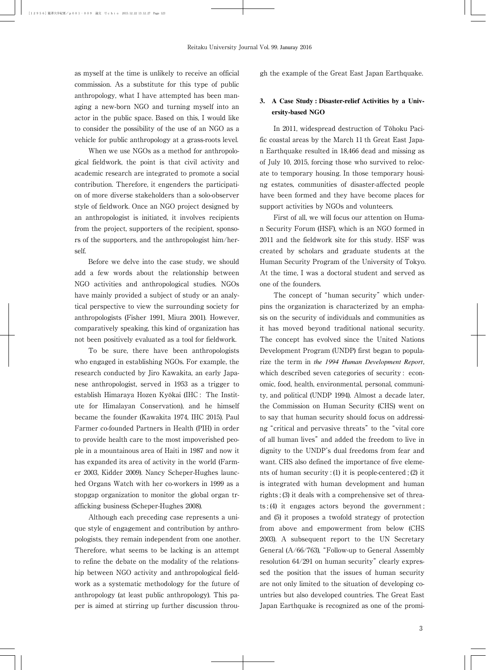as myself at the time is unlikely to receive an official commission. As a substitute for this type of public anthropology, what I have attempted has been managing a new-born NGO and turning myself into an actor in the public space. Based on this, I would like to consider the possibility of the use of an NGO as a vehicle for public anthropology at a grass-roots level.

When we use NGOs as a method for anthropological fieldwork, the point is that civil activity and academic research are integrated to promote a social contribution. Therefore, it engenders the participation of more diverse stakeholders than a solo-observer style of fieldwork. Once an NGO project designed by an anthropologist is initiated, it involves recipients from the project, supporters of the recipient, sponsors of the supporters, and the anthropologist him/herself.

Before we delve into the case study, we should add a few words about the relationship between NGO activities and anthropological studies. NGOs have mainly provided a subject of study or an analytical perspective to view the surrounding society for anthropologists (Fisher 1991, Miura 2001). However, comparatively speaking, this kind of organization has not been positively evaluated as a tool for fieldwork.

To be sure, there have been anthropologists who engaged in establishing NGOs. For example, the research conducted by Jiro Kawakita, an early Japanese anthropologist, served in 1953 as a trigger to establish Himaraya Hozen Kyōkai (IHC: The Institute for Himalayan Conservation), and he himself became the founder (Kawakita 1974, IHC 2015). Paul Farmer co-founded Partners in Health (PIH) in order to provide health care to the most impoverished people in a mountainous area of Haiti in 1987 and now it has expanded its area of activity in the world (Farmer 2003, Kidder 2009). Nancy Scheper-Hughes launched Organs Watch with her co-workers in 1999 as a stopgap organization to monitor the global organ trafficking business (Scheper-Hughes 2008).

Although each preceding case represents a unique style of engagement and contribution by anthropologists, they remain independent from one another. Therefore, what seems to be lacking is an attempt to refine the debate on the modality of the relationship between NGO activity and anthropological fieldwork as a systematic methodology for the future of anthropology (at least public anthropology). This paper is aimed at stirring up further discussion through the example of the Great East Japan Earthquake.

#### **3. A Case Study : Disaster-relief Activities by a University-based NGO**

In 2011, widespread destruction of Tōhoku Pacific coastal areas by the March 11 th Great East Japan Earthquake resulted in 18,466 dead and missing as of July 10, 2015, forcing those who survived to relocate to temporary housing. In those temporary housing estates, communities of disaster-affected people have been formed and they have become places for support activities by NGOs and volunteers.

First of all, we will focus our attention on Human Security Forum (HSF), which is an NGO formed in 2011 and the fieldwork site for this study. HSF was created by scholars and graduate students at the Human Security Program of the University of Tokyo. At the time, I was a doctoral student and served as one of the founders.

The concept of "human security" which underpins the organization is characterized by an emphasis on the security of individuals and communities as it has moved beyond traditional national security. The concept has evolved since the United Nations Development Program (UNDP) first began to popularize the term in *the 1994 Human Development Report*, which described seven categories of security : economic, food, health, environmental, personal, community, and political (UNDP 1994). Almost a decade later, the Commission on Human Security (CHS) went on to say that human security should focus on addressing "critical and pervasive threats" to the "vital core of all human lives"and added the freedom to live in dignity to the UNDP's dual freedoms from fear and want. CHS also defined the importance of five elements of human security : (1) it is people-centered ; (2) it is integrated with human development and human rights ; (3) it deals with a comprehensive set of threats ; (4) it engages actors beyond the government ; and (5) it proposes a twofold strategy of protection from above and empowerment from below (CHS 2003). A subsequent report to the UN Secretary General  $(A/66/763)$ , "Follow-up to General Assembly resolution  $64/291$  on human security" clearly expressed the position that the issues of human security are not only limited to the situation of developing countries but also developed countries. The Great East Japan Earthquake is recognized as one of the promi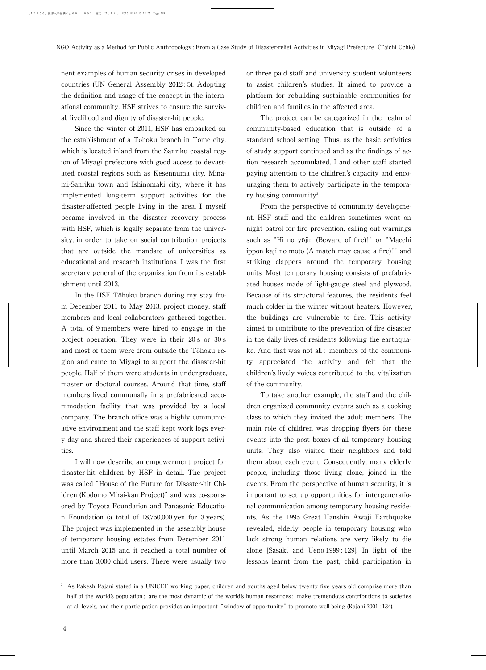nent examples of human security crises in developed countries (UN General Assembly 2012 : 5). Adopting the definition and usage of the concept in the international community, HSF strives to ensure the survival, livelihood and dignity of disaster-hit people.

Since the winter of 2011, HSF has embarked on the establishment of a Tōhoku branch in Tome city, which is located inland from the Sanriku coastal region of Miyagi prefecture with good access to devastated coastal regions such as Kesennuma city, Minami-Sanriku town and Ishinomaki city, where it has implemented long-term support activities for the disaster-affected people living in the area. I myself became involved in the disaster recovery process with HSF, which is legally separate from the university, in order to take on social contribution projects that are outside the mandate of universities as educational and research institutions. I was the first secretary general of the organization from its establishment until 2013.

In the HSF Tōhoku branch during my stay from December 2011 to May 2013, project money, staff members and local collaborators gathered together. A total of 9 members were hired to engage in the project operation. They were in their 20 s or 30 s and most of them were from outside the Tōhoku region and came to Miyagi to support the disaster-hit people. Half of them were students in undergraduate, master or doctoral courses. Around that time, staff members lived communally in a prefabricated accommodation facility that was provided by a local company. The branch office was a highly communicative environment and the staff kept work logs every day and shared their experiences of support activities.

I will now describe an empowerment project for disaster-hit children by HSF in detail. The project was called"House of the Future for Disaster-hit Children (Kodomo Mirai-kan Project)"and was co-sponsored by Toyota Foundation and Panasonic Education Foundation (a total of 18,750,000 yen for 3 years). The project was implemented in the assembly house of temporary housing estates from December 2011 until March 2015 and it reached a total number of more than 3,000 child users. There were usually two or three paid staff and university student volunteers to assist children's studies. It aimed to provide a platform for rebuilding sustainable communities for children and families in the affected area.

The project can be categorized in the realm of community-based education that is outside of a standard school setting. Thus, as the basic activities of study support continued and as the findings of action research accumulated, I and other staff started paying attention to the children's capacity and encouraging them to actively participate in the temporary housing community<sup>3</sup>. .

From the perspective of community development, HSF staff and the children sometimes went on night patrol for fire prevention, calling out warnings such as "Hi no yōjin (Beware of fire)!" or "Macchi ippon kaji no moto (A match may cause a fire)!" and striking clappers around the temporary housing units. Most temporary housing consists of prefabricated houses made of light-gauge steel and plywood. Because of its structural features, the residents feel much colder in the winter without heaters. However, the buildings are vulnerable to fire. This activity aimed to contribute to the prevention of fire disaster in the daily lives of residents following the earthquake. And that was not all : members of the community appreciated the activity and felt that the children's lively voices contributed to the vitalization of the community.

To take another example, the staff and the children organized community events such as a cooking class to which they invited the adult members. The main role of children was dropping flyers for these events into the post boxes of all temporary housing units. They also visited their neighbors and told them about each event. Consequently, many elderly people, including those living alone, joined in the events. From the perspective of human security, it is important to set up opportunities for intergenerational communication among temporary housing residents. As the 1995 Great Hanshin Awaji Earthquake revealed, elderly people in temporary housing who lack strong human relations are very likely to die alone [Sasaki and Ueno 1999 : 129]. In light of the lessons learnt from the past, child participation in

<sup>3</sup> As Rakesh Rajani stated in a UNICEF working paper, children and youths aged below twenty five years old comprise more than half of the world's population ; are the most dynamic of the world's human resources ; make tremendous contributions to societies at all levels, and their participation provides an important"window of opportunity"to promote well-being (Rajani 2001 : 134).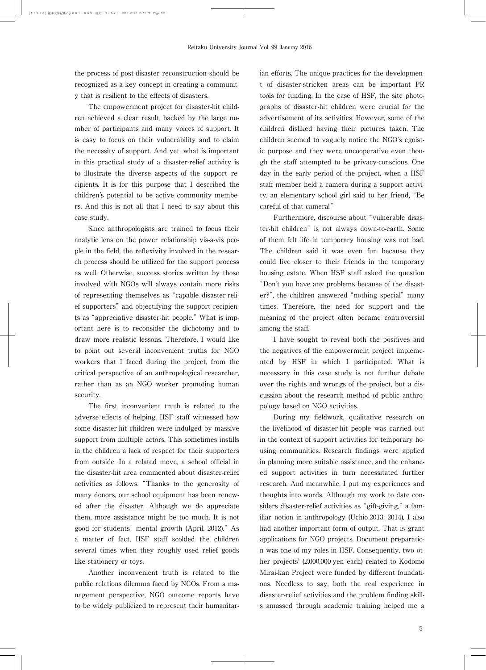the process of post-disaster reconstruction should be recognized as a key concept in creating a community that is resilient to the effects of disasters.

The empowerment project for disaster-hit children achieved a clear result, backed by the large number of participants and many voices of support. It is easy to focus on their vulnerability and to claim the necessity of support. And yet, what is important in this practical study of a disaster-relief activity is to illustrate the diverse aspects of the support recipients. It is for this purpose that I described the children's potential to be active community members. And this is not all that I need to say about this case study.

Since anthropologists are trained to focus their analytic lens on the power relationship vis-a-vis people in the field, the reflexivity involved in the research process should be utilized for the support process as well. Otherwise, success stories written by those involved with NGOs will always contain more risks of representing themselves as"capable disaster-relief supporters"and objectifying the support recipients as"appreciative disaster-hit people."What is important here is to reconsider the dichotomy and to draw more realistic lessons. Therefore, I would like to point out several inconvenient truths for NGO workers that I faced during the project, from the critical perspective of an anthropological researcher, rather than as an NGO worker promoting human security.

The first inconvenient truth is related to the adverse effects of helping. HSF staff witnessed how some disaster-hit children were indulged by massive support from multiple actors. This sometimes instills in the children a lack of respect for their supporters from outside. In a related move, a school official in the disaster-hit area commented about disaster-relief activities as follows."Thanks to the generosity of many donors, our school equipment has been renewed after the disaster. Although we do appreciate them, more assistance might be too much. It is not good for students'mental growth (April, 2012)."As a matter of fact, HSF staff scolded the children several times when they roughly used relief goods like stationery or toys.

Another inconvenient truth is related to the public relations dilemma faced by NGOs. From a management perspective, NGO outcome reports have to be widely publicized to represent their humanitarian efforts. The unique practices for the development of disaster-stricken areas can be important PR tools for funding. In the case of HSF, the site photographs of disaster-hit children were crucial for the advertisement of its activities. However, some of the children disliked having their pictures taken. The children seemed to vaguely notice the NGO's egoistic purpose and they were uncooperative even though the staff attempted to be privacy-conscious. One day in the early period of the project, when a HSF staff member held a camera during a support activity, an elementary school girl said to her friend,"Be careful of that camera!"

Furthermore, discourse about "vulnerable disaster-hit children"is not always down-to-earth. Some of them felt life in temporary housing was not bad. The children said it was even fun because they could live closer to their friends in the temporary housing estate. When HSF staff asked the question "Don't you have any problems because of the disaster?", the children answered "nothing special" many times. Therefore, the need for support and the meaning of the project often became controversial among the staff.

I have sought to reveal both the positives and the negatives of the empowerment project implemented by HSF in which I participated. What is necessary in this case study is not further debate over the rights and wrongs of the project, but a discussion about the research method of public anthropology based on NGO activities.

During my fieldwork, qualitative research on the livelihood of disaster-hit people was carried out in the context of support activities for temporary housing communities. Research findings were applied in planning more suitable assistance, and the enhanced support activities in turn necessitated further research. And meanwhile, I put my experiences and thoughts into words. Although my work to date considers disaster-relief activities as "gift-giving," a familiar notion in anthropology (Uchio 2013, 2014), I also had another important form of output. That is grant applications for NGO projects. Document preparation was one of my roles in HSF. Consequently, two other projects<sup>4</sup> (2,000,000 yen each) related to Kodomo Mirai-kan Project were funded by different foundations. Needless to say, both the real experience in disaster-relief activities and the problem finding skills amassed through academic training helped me a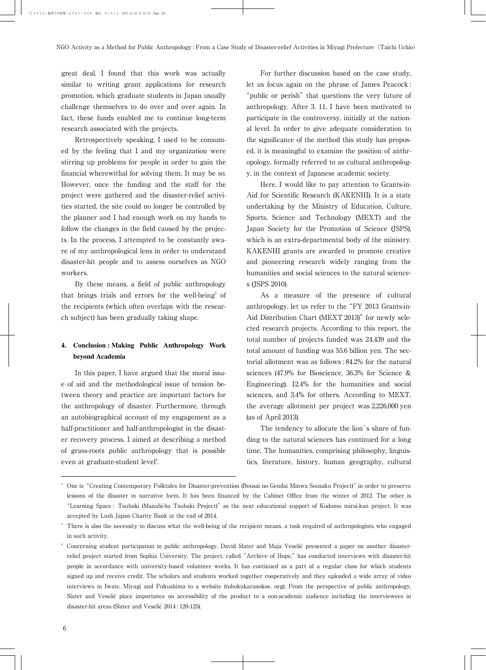great deal. I found that this work was actually similar to writing grant applications for research promotion, which graduate students in Japan usually challenge themselves to do over and over again. In fact, these funds enabled me to continue long-term research associated with the projects.

Retrospectively speaking, I used to be consumed by the feeling that I and my organization were stirring up problems for people in order to gain the financial wherewithal for solving them. It may be so. However, once the funding and the staff for the project were gathered and the disaster-relief activities started, the site could no longer be controlled by the planner and I had enough work on my hands to follow the changes in the field caused by the projects. In the process, I attempted to be constantly aware of my anthropological lens in order to understand disaster-hit people and to assess ourselves as NGO workers.

By these means, a field of public anthropology that brings trials and errors for the well-being $5$  of the recipients (which often overlaps with the research subject) has been gradually taking shape.

## **4. Conclusion : Making Public Anthropology Work beyond Academia**

In this paper, I have argued that the moral issue of aid and the methodological issue of tension between theory and practice are important factors for the anthropology of disaster. Furthermore, through an autobiographical account of my engagement as a half-practitioner and half-anthropologist in the disaster recovery process, I aimed at describing a method of grass-roots public anthropology that is possible even at graduate-student level<sup>6</sup>. .

For further discussion based on the case study, let us focus again on the phrase of James Peacock : "public or perish" that questions the very future of anthropology. After 3. 11, I have been motivated to participate in the controversy, initially at the national level. In order to give adequate consideration to the significance of the method this study has proposed, it is meaningful to examine the position of anthropology, formally referred to as cultural anthropology, in the context of Japanese academic society.

Here, I would like to pay attention to Grants-in-Aid for Scientific Research (KAKENHI). It is a state undertaking by the Ministry of Education, Culture, Sports, Science and Technology (MEXT) and the Japan Society for the Promotion of Science (JSPS), which is an extra-departmental body of the ministry. KAKENHI grants are awarded to promote creative and pioneering research widely ranging from the humanities and social sciences to the natural sciences (JSPS 2010).

As a measure of the presence of cultural anthropology, let us refer to the"FY 2013 Grants-in-Aid Distribution Chart (MEXT 2013)" for newly selected research projects. According to this report, the total number of projects funded was 24,439 and the total amount of funding was 55.6 billion yen. The sectorial allotment was as follows : 84.2% for the natural sciences (47.9% for Bioscience, 36.3% for Science & Engineering), 12.4% for the humanities and social sciences, and 3.4% for others. According to MEXT, the average allotment per project was 2,226,000 yen (as of April 2013).

The tendency to allocate the lion's share of funding to the natural sciences has continued for a long time. The humanities, comprising philosophy, linguistics, literature, history, human geography, cultural

<sup>&</sup>lt;sup>4</sup> One is "Creating Contemporary Folktales for Disaster-prevention (Bousai no Gendai Minwa Sousaku Project)" in order to preserve lessons of the disaster in narrative form. It has been financed by the Cabinet Office from the winter of 2012. The other is "Learning Space : Tsubaki (Manabi-ba Tsubaki Project)"as the next educational support of Kodomo mirai-kan project. It was accepted by Lush Japan Charity Bank at the end of 2014.

<sup>5</sup> There is also the necessity to discuss what the well-being of the recipient means, a task required of anthropologists who engaged in such activity.

<sup>&</sup>lt;sup>6</sup> Concerning student participation in public anthropology, David Slater and Maja Veselič presented a paper on another disasterrelief project started from Sophia University. The project, called "Archive of Hope,"has conducted interviews with disaster-hit people in accordance with university-based volunteer works. It has continued as a part of a regular class for which students signed up and receive credit. The scholars and students worked together cooperatively and they uploaded a wide array of video interviews in Iwate, Miyagi and Fukushima to a website (tohokukaranokoe. org). From the perspective of public anthropology, Slater and Veselič place importance on accessibility of the product to a non-academic audience including the interviewees in disaster-hit areas (Slater and Veselič 2014: 120-125).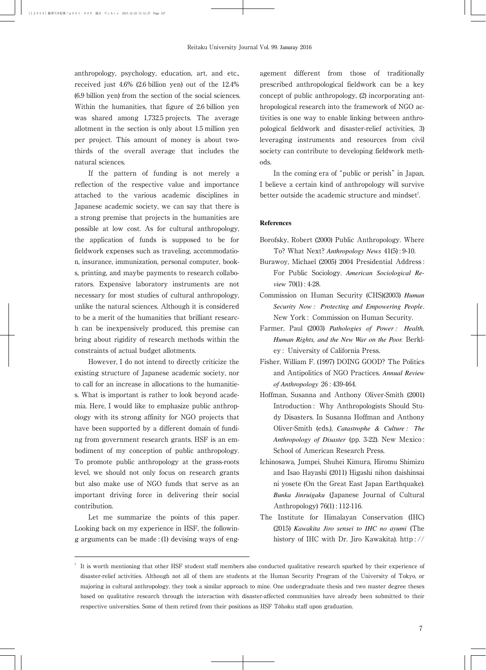anthropology, psychology, education, art, and etc., received just 4.6% (2.6 billion yen) out of the 12.4% (6.9 billion yen) from the section of the social sciences. Within the humanities, that figure of 2.6 billion yen was shared among 1,732.5 projects. The average allotment in the section is only about 1.5 million yen per project. This amount of money is about twothirds of the overall average that includes the natural sciences.

If the pattern of funding is not merely a reflection of the respective value and importance attached to the various academic disciplines in Japanese academic society, we can say that there is a strong premise that projects in the humanities are possible at low cost. As for cultural anthropology, the application of funds is supposed to be for fieldwork expenses such as traveling, accommodation, insurance, immunization, personal computer, books, printing, and maybe payments to research collaborators. Expensive laboratory instruments are not necessary for most studies of cultural anthropology, unlike the natural sciences. Although it is considered to be a merit of the humanities that brilliant research can be inexpensively produced, this premise can bring about rigidity of research methods within the constraints of actual budget allotments.

However, I do not intend to directly criticize the existing structure of Japanese academic society, nor to call for an increase in allocations to the humanities. What is important is rather to look beyond academia. Here, I would like to emphasize public anthropology with its strong affinity for NGO projects that have been supported by a different domain of funding from government research grants. HSF is an embodiment of my conception of public anthropology. To promote public anthropology at the grass-roots level, we should not only focus on research grants but also make use of NGO funds that serve as an important driving force in delivering their social contribution.

Let me summarize the points of this paper. Looking back on my experience in HSF, the following arguments can be made : (1) devising ways of engagement different from those of traditionally prescribed anthropological fieldwork can be a key concept of public anthropology, (2) incorporating anthropological research into the framework of NGO activities is one way to enable linking between anthropological fieldwork and disaster-relief activities, 3) leveraging instruments and resources from civil society can contribute to developing fieldwork methods.

In the coming era of "public or perish" in Japan. I believe a certain kind of anthropology will survive better outside the academic structure and mindset<sup>7</sup>. .

#### **References**

- Borofsky, Robert (2000) Public Anthropology. Where To? What Next? *Anthropology News* 41(5) : 9-10.
- Burawoy, Michael (2005) 2004 Presidential Address : For Public Sociology. *American Sociological Review* 70(1) : 4-28.
- Commission on Human Security (CHS)(2003) *Human Security Now : Protecting and Empowering People*. New York : Commission on Human Security.
- Farmer, Paul (2003) *Pathologies of Power : Health, Human Rights, and the New War on the Poor.* Berkley : University of California Press.
- Fisher, William F. (1997) DOING GOOD? The Politics and Antipolitics of NGO Practices. *Annual Review of Anthropology* 26 : 439-464.
- Hoffman, Susanna and Anthony Oliver-Smith (2001) Introduction : Why Anthropologists Should Study Disasters. In Susanna Hoffman and Anthony Oliver-Smith (eds.), *Catastrophe & Culture : The Anthropology of Disaster* (pp. 3-22). New Mexico : School of American Research Press.
- Ichinosawa, Jumpei, Shuhei Kimura, Hiromu Shimizu and Isao Hayashi (2011) Higashi nihon daishinsai ni yosete (On the Great East Japan Earthquake). *Bunka Jinruigaku* (Japanese Journal of Cultural Anthropology) 76(1) : 112-116.
- The Institute for Himalayan Conservation (IHC) (2015) *Kawakita Jiro sensei to IHC no ayumi* (The history of IHC with Dr. Jiro Kawakita). http : //

<sup>7</sup> It is worth mentioning that other HSF student staff members also conducted qualitative research sparked by their experience of disaster-relief activities. Although not all of them are students at the Human Security Program of the University of Tokyo, or majoring in cultural anthropology, they took a similar approach to mine. One undergraduate thesis and two master degree theses based on qualitative research through the interaction with disaster-affected communities have already been submitted to their respective universities. Some of them retired from their positions as HSF Tōhoku staff upon graduation.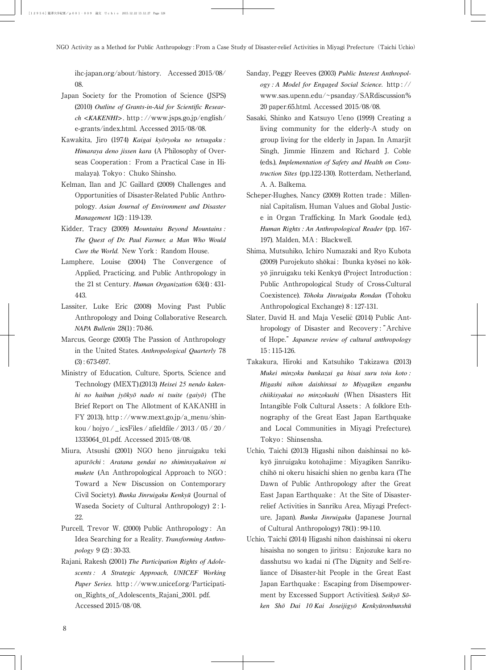ihc-japan.org/about/history. Accessed 2015/08/ 08.

- Japan Society for the Promotion of Science (JSPS) (2010) *Outline of Grants-in-Aid for Scientific Research <KAKENHI>*. http : //www.jsps.go.jp/english/ e-grants/index.html. Accessed 2015/08/08.
- Kawakita, Jiro (1974) *Kaigai kyōryoku no tetsugaku* : *Himaraya deno jissen kara* (A Philosophy of Overseas Cooperation : From a Practical Case in Himalaya). Tokyo : Chuko Shinsho.
- Kelman, Ilan and JC Gaillard (2009) Challenges and Opportunities of Disaster-Related Public Anthropology. *Asian Journal of Environment and Disaster Management* 1(2) : 119-139.
- Kidder, Tracy (2009) *Mountains Beyond Mountains : The Quest of Dr. Paul Farmer, a Man Who Would Cure the World.* New York : Random House.
- Lamphere, Louise (2004) The Convergence of Applied, Practicing, and Public Anthropology in the 21 st Century. *Human Organization* 63(4) : 431- 443.
- Lassiter, Luke Eric (2008) Moving Past Public Anthropology and Doing Collaborative Research. *NAPA Bulletin* 28(1) : 70-86.
- Marcus, George (2005) The Passion of Anthropology in the United States. *Anthropological Quarterly* 78 (3) : 673-697.
- Ministry of Education, Culture, Sports, Science and Technology (MEXT).(2013) *Heisei 25 nendo kakenhi no haibun jyōkyō nado ni tsuite (gaiyō)* (The Brief Report on The Allotment of KAKANHI in FY 2013), http : //www.mext.go.jp/a\_menu/shinkou / hojyo / \_ icsFiles / afieldfile / 2013 / 05 / 20 / 1335064\_01.pdf. Accessed 2015/08/08.
- Miura, Atsushi (2001) NGO heno jinruigaku teki apur*o¯chi* : *Aratana gendai no shiminsyakairon ni mukete* (An Anthropological Approach to NGO : Toward a New Discussion on Contemporary Civil Society). *Bunka Jinruigaku Kenkyu¯* (Journal of Waseda Society of Cultural Anthropology) 2 : 1- 22.
- Purcell, Trevor W. (2000) Public Anthropology : An Idea Searching for a Reality. *Transforming Anthropology* 9 (2) : 30-33.
- Rajani, Rakesh (2001) *The Participation Rights of Adolescents : A Strategic Approach, UNICEF Working Paper Series.* http : //www.unicef.org/Participation\_Rights\_of\_Adolescents\_Rajani\_2001. pdf. Accessed 2015/08/08.
- Sanday, Peggy Reeves (2003) *Public Interest Anthropology : A Model for Engaged Social Science.* http : // www.sas.upenn.edu/~psanday/SARdiscussion% 20 paper.65.html. Accessed 2015/08/08.
- Sasaki, Shinko and Katsuyo Ueno (1999) Creating a living community for the elderly-A study on group living for the elderly in Japan. In Amarjit Singh, Jimmie Hinzem and Richard J. Coble (eds.), *Implementation of Safety and Health on Construction Sites* (pp.122-130). Rotterdam, Netherland, A. A. Balkema.
- Scheper-Hughes, Nancy (2009) Rotten trade : Millennial Capitalism, Human Values and Global Justice in Organ Trafficking. In Mark Goodale (ed.), *Human Rights : An Anthropological Reader* (pp. 167- 197). Malden, MA : Blackwell.
- Shima, Mutsuhiko, Ichiro Numazaki and Ryo Kubota (2009) Purojekuto shōkai : Ibunka kyōsei no kōkyō jinruigaku teki Kenkyū (Project Introduction: Public Anthropological Study of Cross-Cultural Coexistence). *Tōhoku Jinruigaku Rondan* (Tohoku Anthropological Exchange) 8 : 127-131.
- Slater, David H. and Maja Veselič (2014) Public Anthropology of Disaster and Recovery : "Archive of Hope."*Japanese review of cultural anthropology* 15 : 115-126.
- Takakura, Hiroki and Katsuhiko Takizawa (2013) *Mukei minzoku bunkazai ga hisai suru toiu koto : Higashi nihon daishinsai to Miyagiken enganbu chiikisyakai no minzokushi* (When Disasters Hit Intangible Folk Cultural Assets : A folklore Ethnography of the Great East Japan Earthquake and Local Communities in Miyagi Prefecture). Tokyo : Shinsensha.
- Uchio, Taichi (2013) Higashi nihon daishinsai no kōkyo¯ jinruigaku kotohajime : Miyagiken Sanrikuchihō ni okeru hisaichi shien no genba kara (The Dawn of Public Anthropology after the Great East Japan Earthquake : At the Site of Disasterrelief Activities in Sanriku Area, Miyagi Prefecture, Japan). *Bunka Jinruigaku* (Japanese Journal of Cultural Anthropology) 78(1) : 99-110.
- Uchio, Taichi (2014) Higashi nihon daishinsai ni okeru hisaisha no songen to jiritsu : Enjozuke kara no dasshutsu wo kadai ni (The Dignity and Self-reliance of Disaster-hit People in the Great East Japan Earthquake : Escaping from Disempowerment by Excessed Support Activities). *Seikyō Sō*ken Shō Dai 10 Kai Joseijigyō Kenkyūronbunshū